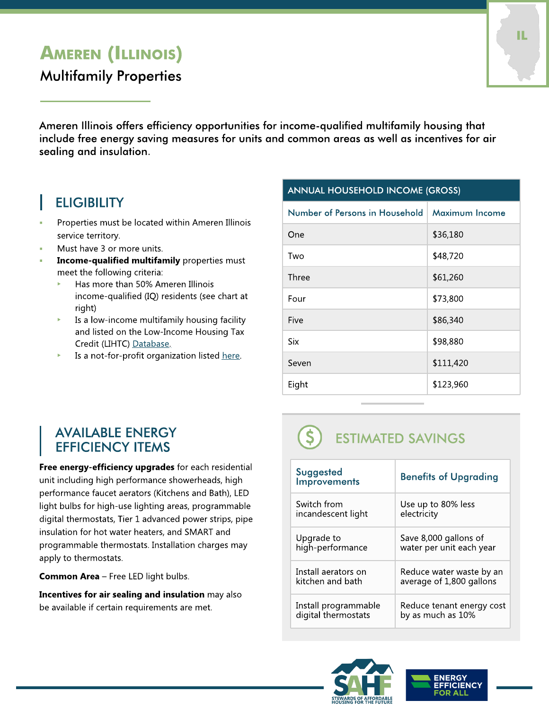## AMEREN (ILLINOIS)

### Multifamily Properties

Ameren Illinois offers efficiency opportunities for income-qualified multifamily housing that include free energy saving measures for units and common areas as well as incentives for air sealing and insulation.

## **ELIGIBILITY**

- Properties must be located within Ameren Illinois service territory.
- Must have 3 or more units.
- Income-qualified multifamily properties must meet the following criteria:
	- Has more than 50% Ameren Illinois income-qualified (IQ) residents (see chart at right)
	- $\triangleright$  Is a low-income multifamily housing facility and listed on the Low-Income Housing Tax Credit (LIHTC) [Database.](https://lihtc.huduser.gov/)
	- Is a not-for-profit organization listed [here](https://projects.propublica.org/nonprofits/).

#### ANNUAL HOUSEHOLD INCOME (GROSS)

| Maximum Income |
|----------------|
| \$36,180       |
| \$48,720       |
| \$61,260       |
| \$73,800       |
| \$86,340       |
| \$98,880       |
| \$111,420      |
| \$123,960      |
|                |

#### **AVAILABLE ENERGY** EFFICIENCY ITEMS

Free energy-efficiency upgrades for each residential unit including high performance showerheads, high performance faucet aerators (Kitchens and Bath), LED light bulbs for high-use lighting areas, programmable digital thermostats, Tier 1 advanced power strips, pipe insulation for hot water heaters, and SMART and programmable thermostats. Installation charges may apply to thermostats.

**Common Area** - Free LED light bulbs.

Incentives for air sealing and insulation may also be available if certain requirements are met.

# ESTIMATED SAVINGS

| Suggested<br><b>Improvements</b> | <b>Benefits of Upgrading</b> |
|----------------------------------|------------------------------|
| Switch from                      | Use up to 80% less           |
| incandescent light               | electricity                  |
| Upgrade to                       | Save 8,000 gallons of        |
| high-performance                 | water per unit each year     |
| Install aerators on              | Reduce water waste by an     |
| kitchen and bath                 | average of 1,800 gallons     |
| Install programmable             | Reduce tenant energy cost    |
| digital thermostats              | by as much as 10%            |